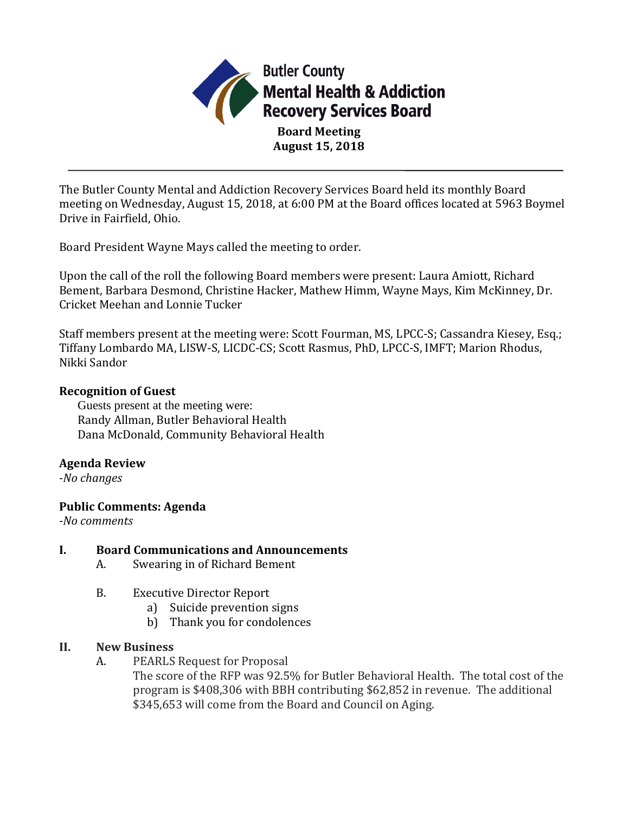

**Board Meeting August 15, 2018**

The Butler County Mental and Addiction Recovery Services Board held its monthly Board meeting on Wednesday, August 15, 2018, at 6:00 PM at the Board offices located at 5963 Boymel Drive in Fairfield, Ohio.

Board President Wayne Mays called the meeting to order.

Upon the call of the roll the following Board members were present: Laura Amiott, Richard Bement, Barbara Desmond, Christine Hacker, Mathew Himm, Wayne Mays, Kim McKinney, Dr. Cricket Meehan and Lonnie Tucker

Staff members present at the meeting were: Scott Fourman, MS, LPCC-S; Cassandra Kiesey, Esq.; Tiffany Lombardo MA, LISW-S, LICDC-CS; Scott Rasmus, PhD, LPCC-S, IMFT; Marion Rhodus, Nikki Sandor

## **Recognition of Guest**

Guests present at the meeting were: Randy Allman, Butler Behavioral Health Dana McDonald, Community Behavioral Health

# **Agenda Review**

*-No changes*

## **Public Comments: Agenda**

*-No comments*

## **I. Board Communications and Announcements**

- A. Swearing in of Richard Bement
- B. Executive Director Report
	- a) Suicide prevention signs
	- b) Thank you for condolences

## **II. New Business**

- A. PEARLS Request for Proposal
	- The score of the RFP was 92.5% for Butler Behavioral Health. The total cost of the program is \$408,306 with BBH contributing \$62,852 in revenue. The additional \$345,653 will come from the Board and Council on Aging.